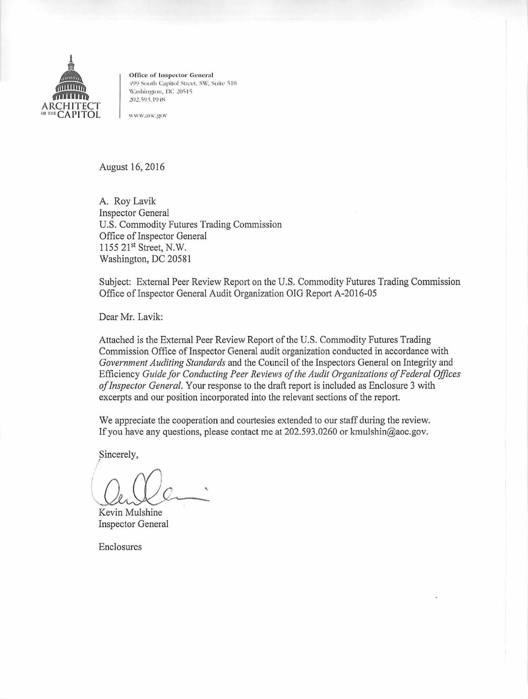

**Office of Inspector General** 499 South Capitol Street, SW, Suite 518 Washington, DC 20515 202.593.1948

www.aoc.gov

August 16, 2016

A. Roy Lavik **Inspector General** U.S. Commodity Futures Trading Commission Office of Inspector General 1155 21st Street, N.W. Washington, DC 20581

Subject: External Peer Review Report on the U.S. Commodity Futures Trading Commission Office of Inspector General Audit Organization OIG Report A-2016-05

Dear Mr. Lavik:

Attached is the External Peer Review Report of the U.S. Commodity Futures Trading Commission Office of Inspector General audit organization conducted in accordance with Government Auditing Standards and the Council of the Inspectors General on Integrity and Efficiency Guide for Conducting Peer Reviews of the Audit Organizations of Federal Offices of Inspector General. Your response to the draft report is included as Enclosure 3 with excerpts and our position incorporated into the relevant sections of the report.

We appreciate the cooperation and courtesies extended to our staff during the review. If you have any questions, please contact me at 202.593.0260 or kmulshin@aoc.gov.

Sincerely,

Kevin Mulshine **Inspector General** 

Enclosures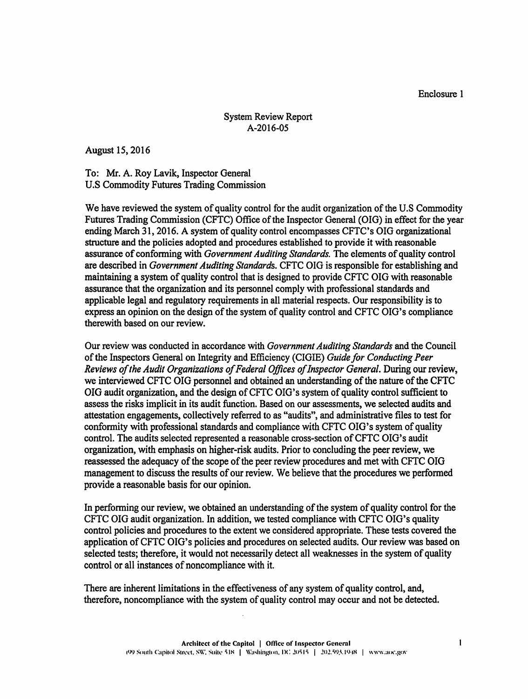Enclosure 1

## System Review Report A-2016-05

August 15, 2016

To: Mr. A. Roy Lavik, Inspector General U.S Commodity Futures Trading Commission

We have reviewed the system of quality control for the audit organization of the U.S Commodity Futures Trading Commission (CFTC) Office of the Inspector General (OIG) in effect for the year ending March 31, 2016. A system of quality control encompasses CFTC's OIG organizational structure and the policies adopted and procedures established to provide it with reasonable assurance of conforming with *Government Auditing Standards*. The elements of quality control are described in *Government Auditing Standards.* CFTC OIG is responsible for establishing and maintaining a system of quality control that is designed to provide CFTC OIG with reasonable assurance that the organization and its personnel comply with professional standards and applicable legal and regulatory requirements in all material respects. Our responsibility is to express an opinion on the design of the system of quality control and CFTC OIG's compliance therewith based on our review.

Our review was conducted in accordance with *Government Auditing Standards* and the Council ofthe Inspectors General on Integrity and Efficiency (CIGIE) *Guide for Conducting Peer*  Reviews of the Audit Organizations of Federal Offices of Inspector General. During our review, we interviewed CFTC OIG personnel and obtained an understanding ofthe nature of the CFTC OIG audit organization, and the design of CFTC OIG's system of quality control sufficient to assess the risks implicit in its audit function. Based on our assessments, we selected audits and attestation engagements, collectively referred to as "audits", and administrative files to test for conformity with professional standards and compliance with CFTC OIG's system of quality control. The audits selected represented a reasonable cross-section ofCFTC OIG's audit organization, with emphasis on higher-risk audits. Prior to concluding the peer review, we reassessed the adequacy of the scope of the peer review procedures and met with CFTC OIG management to discuss the results of our review. We believe that the procedures we performed provide a reasonable basis for our opinion.

In performing our review, we obtained an understanding of the system of quality control for the CFTC OIG audit organization. In addition, we tested compliance with CFTC OIG's quality control policies and procedures to the extent we considered appropriate. These tests covered the application of CFTC OIG's policies and procedures on selected audits. Our review was based on selected tests; therefore, it would not necessarily detect all weaknesses in the system of quality control or all instances of noncompliance with it.

There are inherent limitations in the effectiveness of any system of quality control, and, therefore, noncompliance with the system of quality control may occur and not be detected.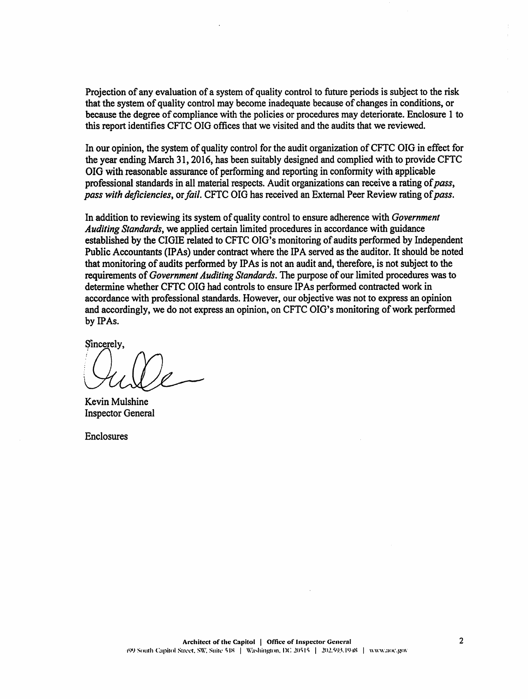Projection of any evaluation of a system of quality control to future periods is subject to the risk that the system of quality control may become inadequate because of changes in conditions, or because the degree of compliance with the policies or procedures may deteriorate. Enclosure 1 to this report identifies CFTC OIG offices that we visited and the audits that we reviewed.

In our opinion, the system of quality control for the audit organization of CFTC OIG in effect for the year ending March 31, 2016, has been suitably designed and complied with to provide CFTC OIG with reasonable assurance of performing and reporting in conformity with applicable professional standards in all material respects. Audit organizations can receive a rating of*pass, pass with deficiencies,* or*fail.* CFTC OIG has received an External Peer Review rating of*pass.* 

In addition to reviewing its system of quality control to ensure adherence with *Government Auditing Standards,* we applied certain limited procedures in accordance with guidance established by the CIGIE related to CFTC OIG's monitoring ofaudits performed by Independent Public Accountants (IPAs) under contract where the IPA served as the auditor. It should be noted that monitoring of audits performed by IPAs is not an audit and, therefore, is not subject to the requirements of *Government Auditing Standards.* The purpose of our limited procedures was to determine whether CFTC 010 had controls to ensure IPAs performed contracted work in accordance with professional standards. However, our objective was not to express an opinion and accordingly, we do not express an opinion, on CFTC OIG's monitoring ofwork performed by IPAs.

Sincerely.

Kevin Mulshine Inspector General

Enclosures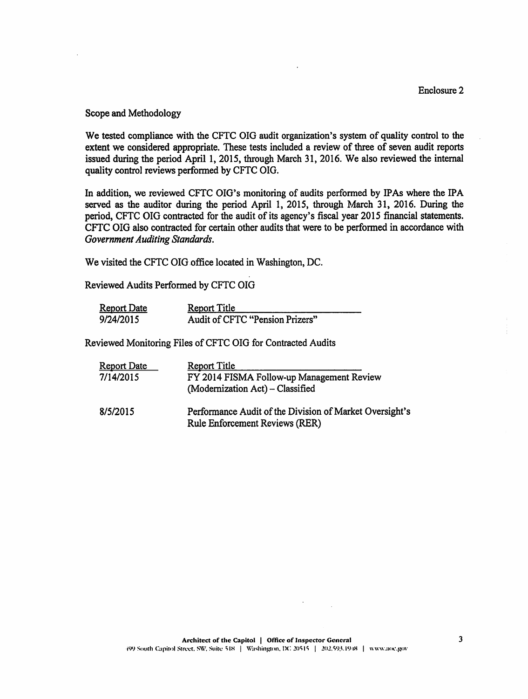## Scope and Methodology

We tested compliance with the CFTC OIG audit organization's system of quality control to the extent we considered appropriate. These tests included a review of three of seven audit reports issued during the period April 1, 2015, through March 31, 2016. We also reviewed the internal quality control reviews performed by CFTC OIG.

In addition, we reviewed CFTC OIG's monitoring of audits performed by IPAs where the IPA served as the auditor during the period April 1, 2015, through March 31, 2016. During the period, CFTC OIG contracted for the audit of its agency's fiscal year 2015 financial statements. CFTC OIG also contracted for certain other audits that were to be performed in accordance with *Government Auditing Standards.* 

We visited the CFTC OIG office located in Washington, DC.

Reviewed Audits Performed by CFTC OIO

| <b>Report Date</b> | <b>Report Title</b>             |
|--------------------|---------------------------------|
| 9/24/2015          | Audit of CFTC "Pension Prizers" |

Reviewed Monitoring Files of CFTC OIO for Contracted Audits

| <b>Report Date</b> | <b>Report Title</b>                                                                              |
|--------------------|--------------------------------------------------------------------------------------------------|
| 7/14/2015          | FY 2014 FISMA Follow-up Management Review                                                        |
|                    | (Modernization Act) - Classified                                                                 |
| 8/5/2015           | Performance Audit of the Division of Market Oversight's<br><b>Rule Enforcement Reviews (RER)</b> |